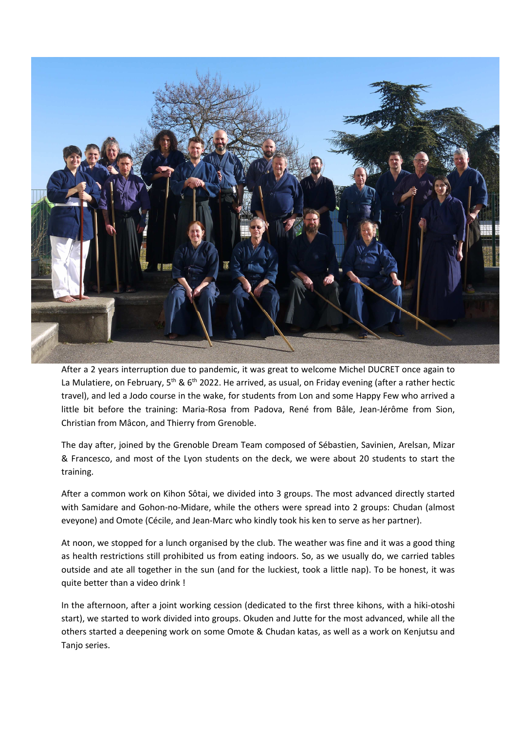

After a 2 years interruption due to pandemic, it was great to welcome Michel DUCRET once again to La Mulatiere, on February, 5<sup>th</sup> & 6<sup>th</sup> 2022. He arrived, as usual, on Friday evening (after a rather hectic travel), and led a Jodo course in the wake, for students from Lon and some Happy Few who arrived a little bit before the training: Maria-Rosa from Padova, René from Bâle, Jean-Jérôme from Sion, Christian from Mâcon, and Thierry from Grenoble.

The day after, joined by the Grenoble Dream Team composed of Sébastien, Savinien, Arelsan, Mizar & Francesco, and most of the Lyon students on the deck, we were about 20 students to start the training.

After a common work on Kihon Sôtai, we divided into 3 groups. The most advanced directly started with Samidare and Gohon-no-Midare, while the others were spread into 2 groups: Chudan (almost eveyone) and Omote (Cécile, and Jean-Marc who kindly took his ken to serve as her partner).

At noon, we stopped for a lunch organised by the club. The weather was fine and it was a good thing as health restrictions still prohibited us from eating indoors. So, as we usually do, we carried tables outside and ate all together in the sun (and for the luckiest, took a little nap). To be honest, it was quite better than a video drink !

In the afternoon, after a joint working cession (dedicated to the first three kihons, with a hiki-otoshi start), we started to work divided into groups. Okuden and Jutte for the most advanced, while all the others started a deepening work on some Omote & Chudan katas, as well as a work on Kenjutsu and Tanjo series.